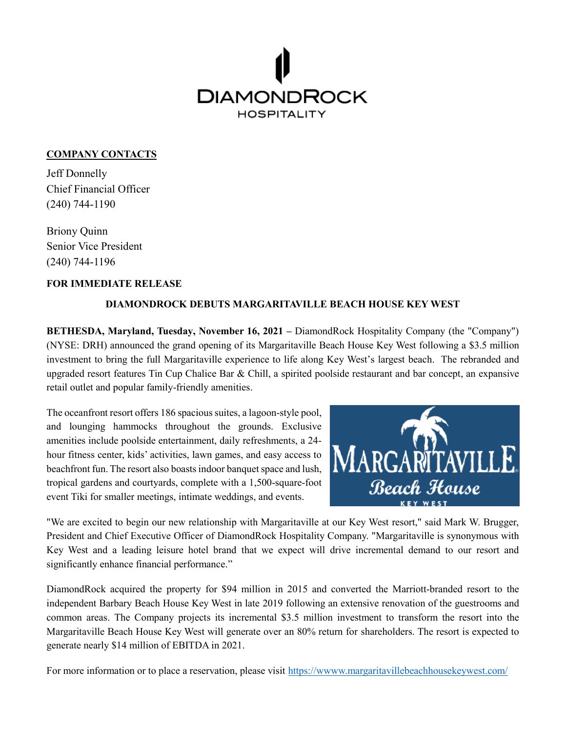

## **COMPANY CONTACTS**

Jeff Donnelly Chief Financial Officer (240) 744-1190

Briony Quinn Senior Vice President (240) 744-1196

## **FOR IMMEDIATE RELEASE**

## **DIAMONDROCK DEBUTS MARGARITAVILLE BEACH HOUSE KEY WEST**

**BETHESDA, Maryland, Tuesday, November 16, 2021 –** DiamondRock Hospitality Company (the "Company") (NYSE: DRH) announced the grand opening of its Margaritaville Beach House Key West following a \$3.5 million investment to bring the full Margaritaville experience to life along Key West's largest beach. The rebranded and upgraded resort features Tin Cup Chalice Bar & Chill, a spirited poolside restaurant and bar concept, an expansive retail outlet and popular family-friendly amenities.

The oceanfront resort offers 186 spacious suites, a lagoon-style pool, and lounging hammocks throughout the grounds. Exclusive amenities include poolside entertainment, daily refreshments, a 24 hour fitness center, kids' activities, lawn games, and easy access to beachfront fun. The resort also boasts indoor banquet space and lush, tropical gardens and courtyards, complete with a 1,500-square-foot event Tiki for smaller meetings, intimate weddings, and events.



"We are excited to begin our new relationship with Margaritaville at our Key West resort," said Mark W. Brugger, President and Chief Executive Officer of DiamondRock Hospitality Company. "Margaritaville is synonymous with Key West and a leading leisure hotel brand that we expect will drive incremental demand to our resort and significantly enhance financial performance."

DiamondRock acquired the property for \$94 million in 2015 and converted the Marriott-branded resort to the independent Barbary Beach House Key West in late 2019 following an extensive renovation of the guestrooms and common areas. The Company projects its incremental \$3.5 million investment to transform the resort into the Margaritaville Beach House Key West will generate over an 80% return for shareholders. The resort is expected to generate nearly \$14 million of EBITDA in 2021.

For more information or to place a reservation, please visit https://www.margaritavillebeachhousekeywest.com/